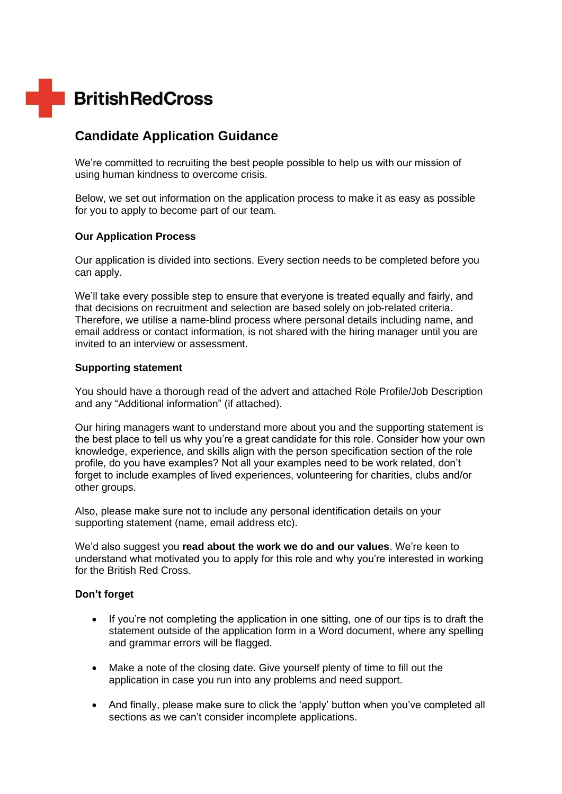

## **Candidate Application Guidance**

We're committed to recruiting the best people possible to help us with our mission of using human kindness to overcome crisis.

Below, we set out information on the application process to make it as easy as possible for you to apply to become part of our team.

## **Our Application Process**

Our application is divided into sections. Every section needs to be completed before you can apply.

We'll take every possible step to ensure that everyone is treated equally and fairly, and that decisions on recruitment and selection are based solely on job-related criteria. Therefore, we utilise a name-blind process where personal details including name, and email address or contact information, is not shared with the hiring manager until you are invited to an interview or assessment.

## **Supporting statement**

You should have a thorough read of the advert and attached Role Profile/Job Description and any "Additional information" (if attached).

Our hiring managers want to understand more about you and the supporting statement is the best place to tell us why you're a great candidate for this role. Consider how your own knowledge, experience, and skills align with the person specification section of the role profile, do you have examples? Not all your examples need to be work related, don't forget to include examples of lived experiences, volunteering for charities, clubs and/or other groups.

Also, please make sure not to include any personal identification details on your supporting statement (name, email address etc).

We'd also suggest you **[read about the work we do and our values](https://eur03.safelinks.protection.outlook.com/?url=https%3A%2F%2Fwww.redcross.org.uk%2Fabout-us&data=04%7C01%7CKerryMartin%40redcross.org.uk%7Cdfee7586704049d5d0ba08d9477649e5%7Cfedc3cbaca5e4388a837b45c7f0d71b7%7C0%7C0%7C637619395626243545%7CUnknown%7CTWFpbGZsb3d8eyJWIjoiMC4wLjAwMDAiLCJQIjoiV2luMzIiLCJBTiI6Ik1haWwiLCJXVCI6Mn0%3D%7C1000&sdata=TblGe32PrCd7zLf5L%2B326bTm4Vn97XzLz%2BQOlKmPWSQ%3D&reserved=0)**. We're keen to understand what motivated you to apply for this role and why you're interested in working for the British Red Cross.

## **Don't forget**

- If you're not completing the application in one sitting, one of our tips is to draft the statement outside of the application form in a Word document, where any spelling and grammar errors will be flagged.
- Make a note of the closing date. Give yourself plenty of time to fill out the application in case you run into any problems and need support.
- And finally, please make sure to click the 'apply' button when you've completed all sections as we can't consider incomplete applications.